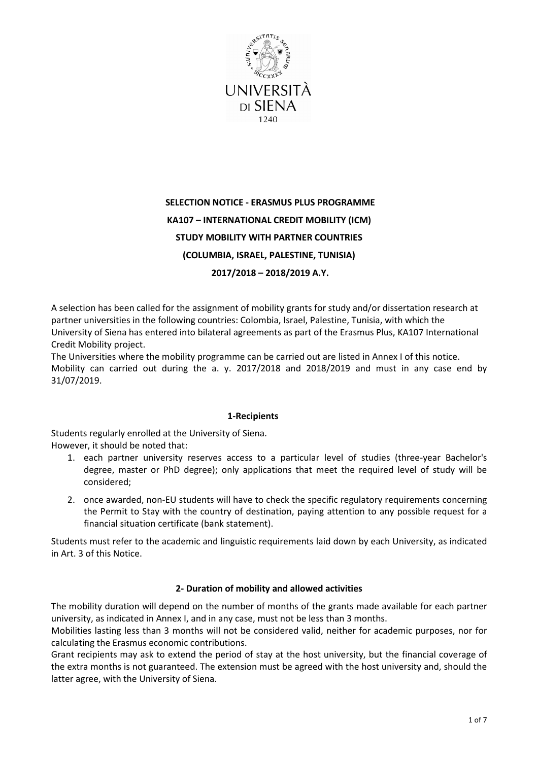

# **SELECTION NOTICE - ERASMUS PLUS PROGRAMME KA107 – INTERNATIONAL CREDIT MOBILITY (ICM) STUDY MOBILITY WITH PARTNER COUNTRIES (COLUMBIA, ISRAEL, PALESTINE, TUNISIA) 2017/2018 – 2018/2019 A.Y.**

A selection has been called for the assignment of mobility grants for study and/or dissertation research at partner universities in the following countries: Colombia, Israel, Palestine, Tunisia, with which the University of Siena has entered into bilateral agreements as part of the Erasmus Plus, KA107 International Credit Mobility project.

The Universities where the mobility programme can be carried out are listed in Annex I of this notice. Mobility can carried out during the a. y. 2017/2018 and 2018/2019 and must in any case end by 31/07/2019.

# **1-Recipients**

Students regularly enrolled at the University of Siena. However, it should be noted that:

- 1. each partner university reserves access to a particular level of studies (three-year Bachelor's degree, master or PhD degree); only applications that meet the required level of study will be considered;
- 2. once awarded, non-EU students will have to check the specific regulatory requirements concerning the Permit to Stay with the country of destination, paying attention to any possible request for a financial situation certificate (bank statement).

Students must refer to the academic and linguistic requirements laid down by each University, as indicated in Art. 3 of this Notice.

# **2- Duration of mobility and allowed activities**

The mobility duration will depend on the number of months of the grants made available for each partner university, as indicated in Annex I, and in any case, must not be less than 3 months.

Mobilities lasting less than 3 months will not be considered valid, neither for academic purposes, nor for calculating the Erasmus economic contributions.

Grant recipients may ask to extend the period of stay at the host university, but the financial coverage of the extra months is not guaranteed. The extension must be agreed with the host university and, should the latter agree, with the University of Siena.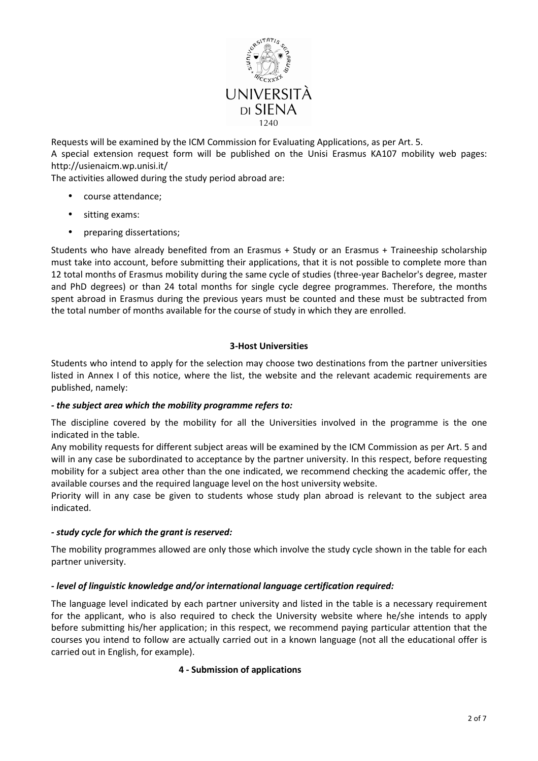

Requests will be examined by the ICM Commission for Evaluating Applications, as per Art. 5.

A special extension request form will be published on the Unisi Erasmus KA107 mobility web pages: http://usienaicm.wp.unisi.it/

The activities allowed during the study period abroad are:

- course attendance;
- sitting exams:
- preparing dissertations;

Students who have already benefited from an Erasmus + Study or an Erasmus + Traineeship scholarship must take into account, before submitting their applications, that it is not possible to complete more than 12 total months of Erasmus mobility during the same cycle of studies (three-year Bachelor's degree, master and PhD degrees) or than 24 total months for single cycle degree programmes. Therefore, the months spent abroad in Erasmus during the previous years must be counted and these must be subtracted from the total number of months available for the course of study in which they are enrolled.

## **3-Host Universities**

Students who intend to apply for the selection may choose two destinations from the partner universities listed in Annex I of this notice, where the list, the website and the relevant academic requirements are published, namely:

#### *- the subject area which the mobility programme refers to:*

The discipline covered by the mobility for all the Universities involved in the programme is the one indicated in the table.

Any mobility requests for different subject areas will be examined by the ICM Commission as per Art. 5 and will in any case be subordinated to acceptance by the partner university. In this respect, before requesting mobility for a subject area other than the one indicated, we recommend checking the academic offer, the available courses and the required language level on the host university website.

Priority will in any case be given to students whose study plan abroad is relevant to the subject area indicated.

#### *- study cycle for which the grant is reserved:*

The mobility programmes allowed are only those which involve the study cycle shown in the table for each partner university.

#### *- level of linguistic knowledge and/or international language certification required:*

The language level indicated by each partner university and listed in the table is a necessary requirement for the applicant, who is also required to check the University website where he/she intends to apply before submitting his/her application; in this respect, we recommend paying particular attention that the courses you intend to follow are actually carried out in a known language (not all the educational offer is carried out in English, for example).

#### **4 - Submission of applications**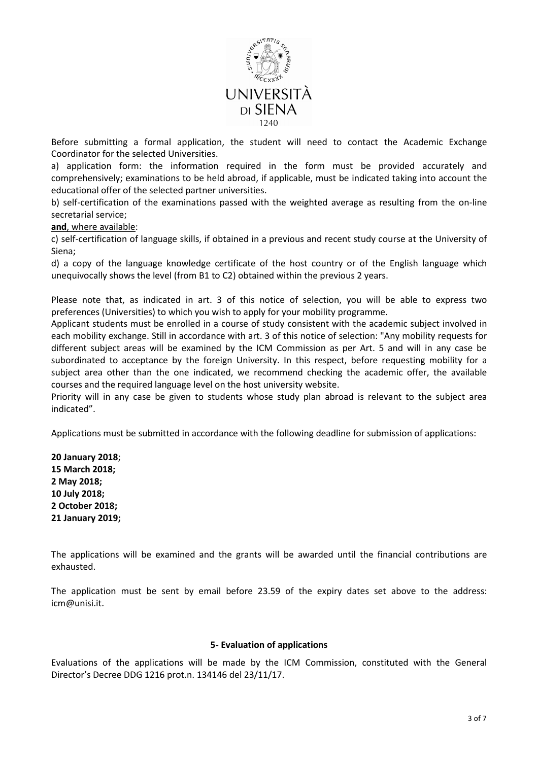

Before submitting a formal application, the student will need to contact the Academic Exchange Coordinator for the selected Universities.

a) application form: the information required in the form must be provided accurately and comprehensively; examinations to be held abroad, if applicable, must be indicated taking into account the educational offer of the selected partner universities.

b) self-certification of the examinations passed with the weighted average as resulting from the on-line secretarial service;

## **and**, where available:

c) self-certification of language skills, if obtained in a previous and recent study course at the University of Siena;

d) a copy of the language knowledge certificate of the host country or of the English language which unequivocally shows the level (from B1 to C2) obtained within the previous 2 years.

Please note that, as indicated in art. 3 of this notice of selection, you will be able to express two preferences (Universities) to which you wish to apply for your mobility programme.

Applicant students must be enrolled in a course of study consistent with the academic subject involved in each mobility exchange. Still in accordance with art. 3 of this notice of selection: "Any mobility requests for different subject areas will be examined by the ICM Commission as per Art. 5 and will in any case be subordinated to acceptance by the foreign University. In this respect, before requesting mobility for a subject area other than the one indicated, we recommend checking the academic offer, the available courses and the required language level on the host university website.

Priority will in any case be given to students whose study plan abroad is relevant to the subject area indicated".

Applications must be submitted in accordance with the following deadline for submission of applications:

**20 January 2018**; **15 March 2018; 2 May 2018; 10 July 2018; 2 October 2018; 21 January 2019;** 

The applications will be examined and the grants will be awarded until the financial contributions are exhausted.

The application must be sent by email before 23.59 of the expiry dates set above to the address: icm@unisi.it.

#### **5- Evaluation of applications**

Evaluations of the applications will be made by the ICM Commission, constituted with the General Director's Decree DDG 1216 prot.n. 134146 del 23/11/17.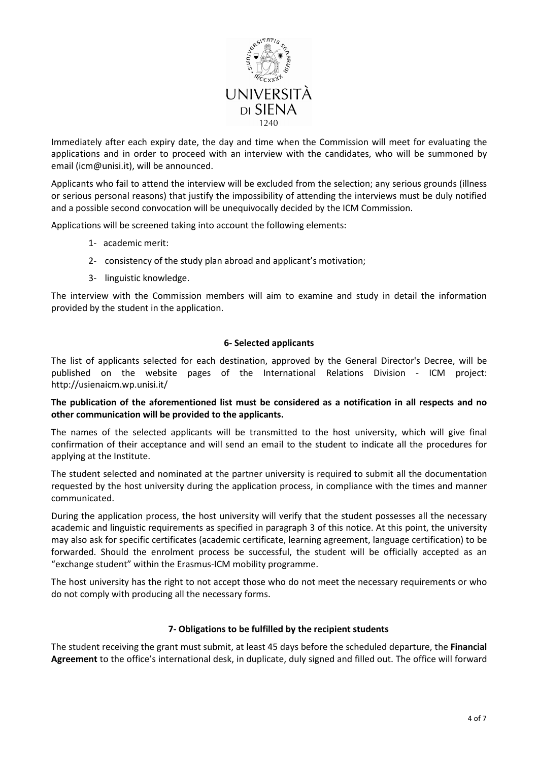

Immediately after each expiry date, the day and time when the Commission will meet for evaluating the applications and in order to proceed with an interview with the candidates, who will be summoned by email (icm@unisi.it), will be announced.

Applicants who fail to attend the interview will be excluded from the selection; any serious grounds (illness or serious personal reasons) that justify the impossibility of attending the interviews must be duly notified and a possible second convocation will be unequivocally decided by the ICM Commission.

Applications will be screened taking into account the following elements:

- 1- academic merit:
- 2- consistency of the study plan abroad and applicant's motivation;
- 3- linguistic knowledge.

The interview with the Commission members will aim to examine and study in detail the information provided by the student in the application.

#### **6- Selected applicants**

The list of applicants selected for each destination, approved by the General Director's Decree, will be published on the website pages of the International Relations Division - ICM project: http://usienaicm.wp.unisi.it/

**The publication of the aforementioned list must be considered as a notification in all respects and no other communication will be provided to the applicants.** 

The names of the selected applicants will be transmitted to the host university, which will give final confirmation of their acceptance and will send an email to the student to indicate all the procedures for applying at the Institute.

The student selected and nominated at the partner university is required to submit all the documentation requested by the host university during the application process, in compliance with the times and manner communicated.

During the application process, the host university will verify that the student possesses all the necessary academic and linguistic requirements as specified in paragraph 3 of this notice. At this point, the university may also ask for specific certificates (academic certificate, learning agreement, language certification) to be forwarded. Should the enrolment process be successful, the student will be officially accepted as an "exchange student" within the Erasmus-ICM mobility programme.

The host university has the right to not accept those who do not meet the necessary requirements or who do not comply with producing all the necessary forms.

#### **7- Obligations to be fulfilled by the recipient students**

The student receiving the grant must submit, at least 45 days before the scheduled departure, the **Financial Agreement** to the office's international desk, in duplicate, duly signed and filled out. The office will forward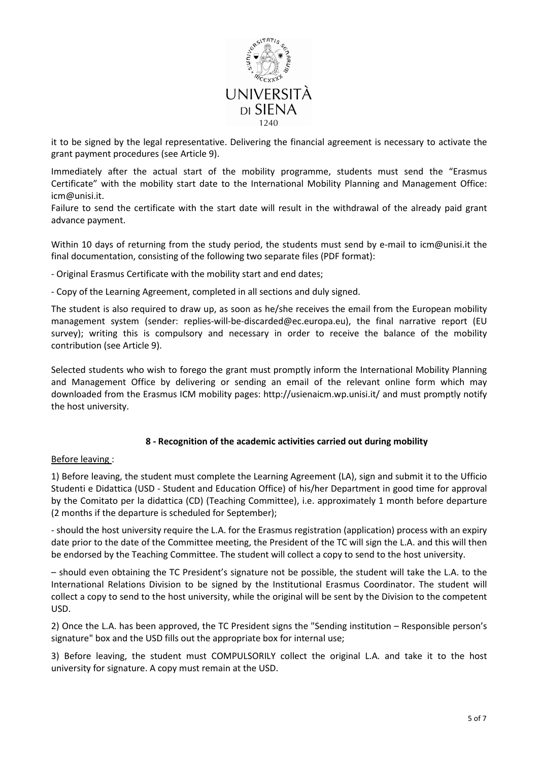

it to be signed by the legal representative. Delivering the financial agreement is necessary to activate the grant payment procedures (see Article 9).

Immediately after the actual start of the mobility programme, students must send the "Erasmus Certificate" with the mobility start date to the International Mobility Planning and Management Office: icm@unisi.it.

Failure to send the certificate with the start date will result in the withdrawal of the already paid grant advance payment.

Within 10 days of returning from the study period, the students must send by e-mail to icm@unisi.it the final documentation, consisting of the following two separate files (PDF format):

- Original Erasmus Certificate with the mobility start and end dates;

- Copy of the Learning Agreement, completed in all sections and duly signed.

The student is also required to draw up, as soon as he/she receives the email from the European mobility management system (sender: replies-will-be-discarded@ec.europa.eu), the final narrative report (EU survey); writing this is compulsory and necessary in order to receive the balance of the mobility contribution (see Article 9).

Selected students who wish to forego the grant must promptly inform the International Mobility Planning and Management Office by delivering or sending an email of the relevant online form which may downloaded from the Erasmus ICM mobility pages: http://usienaicm.wp.unisi.it/ and must promptly notify the host university.

# **8 - Recognition of the academic activities carried out during mobility**

#### Before leaving :

1) Before leaving, the student must complete the Learning Agreement (LA), sign and submit it to the Ufficio Studenti e Didattica (USD - Student and Education Office) of his/her Department in good time for approval by the Comitato per la didattica (CD) (Teaching Committee), i.e. approximately 1 month before departure (2 months if the departure is scheduled for September);

- should the host university require the L.A. for the Erasmus registration (application) process with an expiry date prior to the date of the Committee meeting, the President of the TC will sign the L.A. and this will then be endorsed by the Teaching Committee. The student will collect a copy to send to the host university.

– should even obtaining the TC President's signature not be possible, the student will take the L.A. to the International Relations Division to be signed by the Institutional Erasmus Coordinator. The student will collect a copy to send to the host university, while the original will be sent by the Division to the competent USD.

2) Once the L.A. has been approved, the TC President signs the "Sending institution – Responsible person's signature" box and the USD fills out the appropriate box for internal use;

3) Before leaving, the student must COMPULSORILY collect the original L.A. and take it to the host university for signature. A copy must remain at the USD.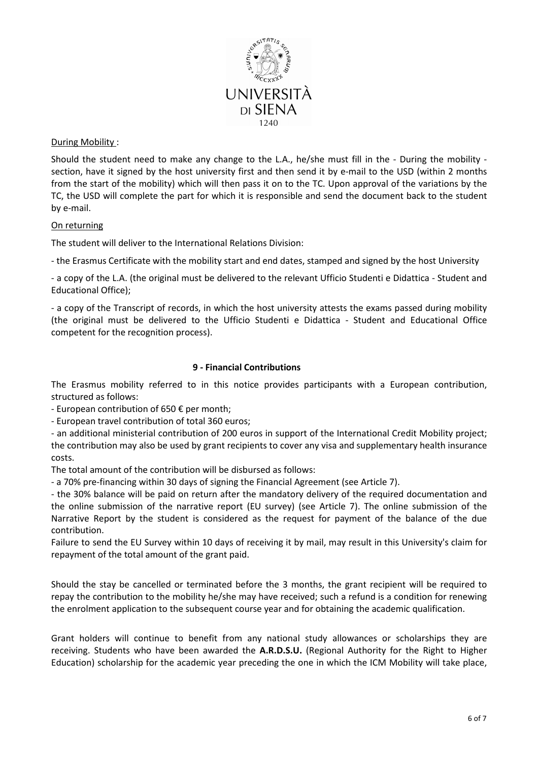

## During Mobility:

Should the student need to make any change to the L.A., he/she must fill in the - During the mobility section, have it signed by the host university first and then send it by e-mail to the USD (within 2 months from the start of the mobility) which will then pass it on to the TC. Upon approval of the variations by the TC, the USD will complete the part for which it is responsible and send the document back to the student by e-mail.

## On returning

The student will deliver to the International Relations Division:

- the Erasmus Certificate with the mobility start and end dates, stamped and signed by the host University

- a copy of the L.A. (the original must be delivered to the relevant Ufficio Studenti e Didattica - Student and Educational Office);

- a copy of the Transcript of records, in which the host university attests the exams passed during mobility (the original must be delivered to the Ufficio Studenti e Didattica - Student and Educational Office competent for the recognition process).

## **9 - Financial Contributions**

The Erasmus mobility referred to in this notice provides participants with a European contribution, structured as follows:

- European contribution of 650 € per month;

- European travel contribution of total 360 euros;

- an additional ministerial contribution of 200 euros in support of the International Credit Mobility project; the contribution may also be used by grant recipients to cover any visa and supplementary health insurance costs.

The total amount of the contribution will be disbursed as follows:

- a 70% pre-financing within 30 days of signing the Financial Agreement (see Article 7).

- the 30% balance will be paid on return after the mandatory delivery of the required documentation and the online submission of the narrative report (EU survey) (see Article 7). The online submission of the Narrative Report by the student is considered as the request for payment of the balance of the due contribution.

Failure to send the EU Survey within 10 days of receiving it by mail, may result in this University's claim for repayment of the total amount of the grant paid.

Should the stay be cancelled or terminated before the 3 months, the grant recipient will be required to repay the contribution to the mobility he/she may have received; such a refund is a condition for renewing the enrolment application to the subsequent course year and for obtaining the academic qualification.

Grant holders will continue to benefit from any national study allowances or scholarships they are receiving. Students who have been awarded the **A.R.D.S.U.** (Regional Authority for the Right to Higher Education) scholarship for the academic year preceding the one in which the ICM Mobility will take place,